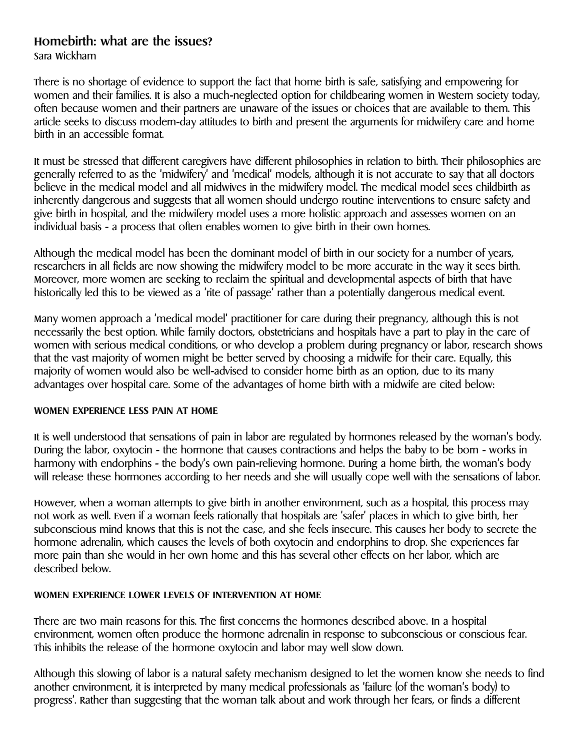# **Homebirth: what are the issues?**

Sara Wickham

There is no shortage of evidence to support the fact that home birth is safe, satisfying and empowering for women and their families. It is also a much-neglected option for childbearing women in Western society today, often because women and their partners are unaware of the issues or choices that are available to them. This article seeks to discuss modern-day attitudes to birth and present the arguments for midwifery care and home birth in an accessible format.

It must be stressed that different caregivers have different philosophies in relation to birth. Their philosophies are generally referred to as the 'midwifery' and 'medical' models, although it is not accurate to say that all doctors believe in the medical model and all midwives in the midwifery model. The medical model sees childbirth as inherently dangerous and suggests that all women should undergo routine interventions to ensure safety and give birth in hospital, and the midwifery model uses a more holistic approach and assesses women on an individual basis - a process that often enables women to give birth in their own homes.

Although the medical model has been the dominant model of birth in our society for a number of years, researchers in all fields are now showing the midwifery model to be more accurate in the way it sees birth. Moreover, more women are seeking to reclaim the spiritual and developmental aspects of birth that have historically led this to be viewed as a 'rite of passage' rather than a potentially dangerous medical event.

Many women approach a 'medical model' practitioner for care during their pregnancy, although this is not necessarily the best option. While family doctors, obstetricians and hospitals have a part to play in the care of women with serious medical conditions, or who develop a problem during pregnancy or labor, research shows that the vast majority of women might be better served by choosing a midwife for their care. Equally, this majority of women would also be well-advised to consider home birth as an option, due to its many advantages over hospital care. Some of the advantages of home birth with a midwife are cited below:

# **WOMEN EXPERIENCE LESS PAIN AT HOME**

It is well understood that sensations of pain in labor are regulated by hormones released by the woman's body. During the labor, oxytocin - the hormone that causes contractions and helps the baby to be born - works in harmony with endorphins - the body's own pain-relieving hormone. During a home birth, the woman's body will release these hormones according to her needs and she will usually cope well with the sensations of labor.

However, when a woman attempts to give birth in another environment, such as a hospital, this process may not work as well. Even if a woman feels rationally that hospitals are 'safer' places in which to give birth, her subconscious mind knows that this is not the case, and she feels insecure. This causes her body to secrete the hormone adrenalin, which causes the levels of both oxytocin and endorphins to drop. She experiences far more pain than she would in her own home and this has several other effects on her labor, which are described below.

# **WOMEN EXPERIENCE LOWER LEVELS OF INTERVENTION AT HOME**

There are two main reasons for this. The first concerns the hormones described above. In a hospital environment, women often produce the hormone adrenalin in response to subconscious or conscious fear. This inhibits the release of the hormone oxytocin and labor may well slow down.

Although this slowing of labor is a natural safety mechanism designed to let the women know she needs to find another environment, it is interpreted by many medical professionals as 'failure (of the woman's body) to progress'. Rather than suggesting that the woman talk about and work through her fears, or finds a different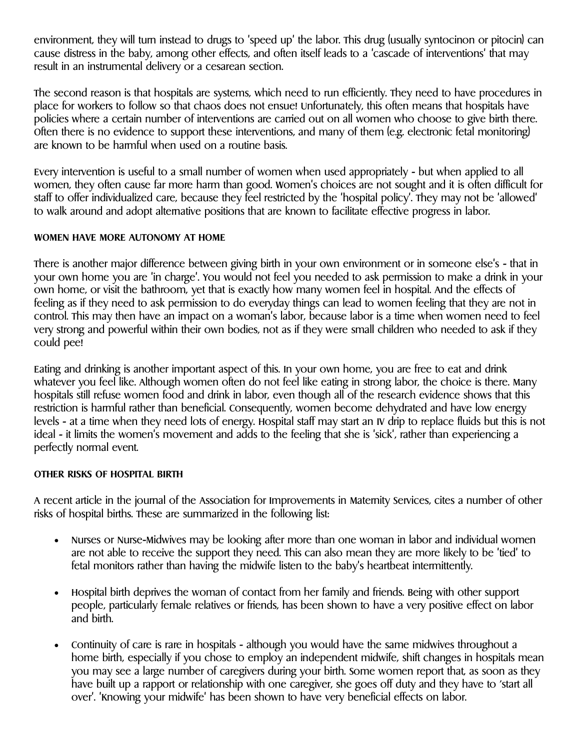environment, they will turn instead to drugs to 'speed up' the labor. This drug (usually syntocinon or pitocin) can cause distress in the baby, among other effects, and often itself leads to a 'cascade of interventions' that may result in an instrumental delivery or a cesarean section.

The second reason is that hospitals are systems, which need to run efficiently. They need to have procedures in place for workers to follow so that chaos does not ensue! Unfortunately, this often means that hospitals have policies where a certain number of interventions are carried out on all women who choose to give birth there. Often there is no evidence to support these interventions, and many of them (e.g. electronic fetal monitoring) are known to be harmful when used on a routine basis.

Every intervention is useful to a small number of women when used appropriately - but when applied to all women, they often cause far more harm than good. Women's choices are not sought and it is often difficult for staff to offer individualized care, because they feel restricted by the 'hospital policy'. They may not be 'allowed' to walk around and adopt alternative positions that are known to facilitate effective progress in labor.

#### **WOMEN HAVE MORE AUTONOMY AT HOME**

There is another major difference between giving birth in your own environment or in someone else's - that in your own home you are 'in charge'. You would not feel you needed to ask permission to make a drink in your own home, or visit the bathroom, yet that is exactly how many women feel in hospital. And the effects of feeling as if they need to ask permission to do everyday things can lead to women feeling that they are not in control. This may then have an impact on a woman's labor, because labor is a time when women need to feel very strong and powerful within their own bodies, not as if they were small children who needed to ask if they could pee!

Eating and drinking is another important aspect of this. In your own home, you are free to eat and drink whatever you feel like. Although women often do not feel like eating in strong labor, the choice is there. Many hospitals still refuse women food and drink in labor, even though all of the research evidence shows that this restriction is harmful rather than beneficial. Consequently, women become dehydrated and have low energy levels - at a time when they need lots of energy. Hospital staff may start an IV drip to replace fluids but this is not ideal - it limits the women's movement and adds to the feeling that she is 'sick', rather than experiencing a perfectly normal event.

# **OTHER RISKS OF HOSPITAL BIRTH**

A recent article in the journal of the Association for Improvements in Maternity Services, cites a number of other risks of hospital births. These are summarized in the following list:

- Nurses or Nurse-Midwives may be looking after more than one woman in labor and individual women are not able to receive the support they need. This can also mean they are more likely to be 'tied' to fetal monitors rather than having the midwife listen to the baby's heartbeat intermittently.
- Hospital birth deprives the woman of contact from her family and friends. Being with other support people, particularly female relatives or friends, has been shown to have a very positive effect on labor and birth.
- Continuity of care is rare in hospitals although you would have the same midwives throughout a home birth, especially if you chose to employ an independent midwife, shift changes in hospitals mean you may see a large number of caregivers during your birth. Some women report that, as soon as they have built up a rapport or relationship with one caregiver, she goes off duty and they have to 'start all over'. 'Knowing your midwife' has been shown to have very beneficial effects on labor.